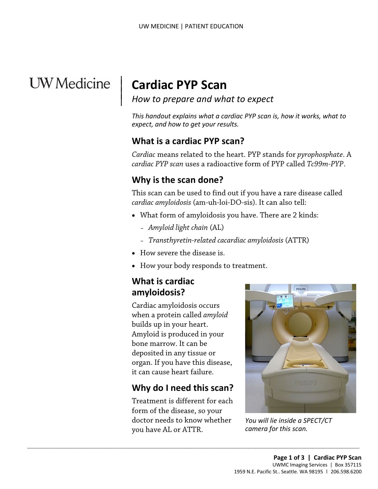# **UW** Medicine

 $\overline{\phantom{a}}$ 

 $\vert$ 

## | **Cardiac PYP Scan**

*How to prepare and what to expect* |

*This handout explains what a cardiac PYP scan is, how it works, what to expect, and how to get your results.* 

#### **What is a cardiac PYP scan?**

 *Cardiac* means related to the heart. PYP stands for *pyrophosphate*. A *cardiac PYP scan* uses a radioactive form of PYP called *Tc99m-PYP*.

#### **Why is the scan done?**

 This scan can be used to find out if you have a rare disease called Why is the scan done?<br>
This scan can be used to find out if you have a rare disease cal<br>
cardiac amyloidosis (am-uh-loi-DO-sis). It can also tell:<br>
• What form of amyloidosis you have. There are 2 kinds:<br>
- Amyloid light c *cardiac amyloidosis* (am-uh-loi-DO-sis). It can also tell:

- • What form of amyloidosis you have. There are 2 kinds:
	- *Amyloid light chain* (AL)
	- *Transthyretin-related cacardiac amyloidosis* (ATTR)
- How severe the disease is.
- How your body responds to treatment.

#### **What is cardiac amyloidosis?**

Cardiac amyloidosis occurs when a protein called *amyloid*  builds up in your heart. Amyloid is produced in your bone marrow. It can be deposited in any tissue or organ. If you have this disease, it can cause heart failure.

## **Why do I need this scan?**

 Treatment is different for each form of the disease, so your doctor needs to know whether you have AL or ATTR.

 $\_$  , and the set of the set of the set of the set of the set of the set of the set of the set of the set of the set of the set of the set of the set of the set of the set of the set of the set of the set of the set of th



*You will lie inside a SPECT/CT camera for this scan.*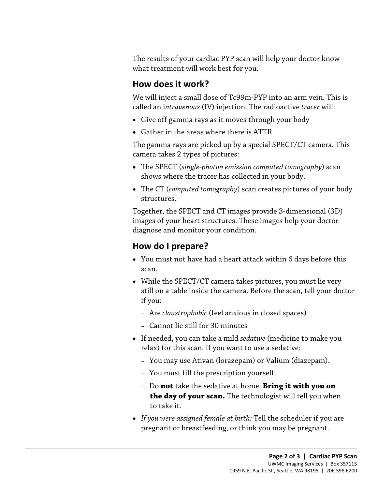The results of your cardiac PYP scan will help your doctor know what treatment will work best for you.

#### **How does it work?**

We will inject a small dose of Tc99m-PYP into an arm vein. This is called an i*ntravenous* (IV) injection. The radioactive *tracer* will:

- Give off gamma rays as it moves through your body
- Gather in the areas where there is ATTR

 The gamma rays are picked up by a special SPECT/CT camera. This camera takes 2 types of pictures:

- The SPECT (*single-photon emission computed tomography*) scan shows where the tracer has collected in your body.
- The CT (*computed tomography*) scan creates pictures of your body structures.

The CT (computed tomography) scan creates pictures of your body.<br>
• The CT (computed tomography) scan creates pictures of you<br>
structures.<br>
Together, the SPECT and CT images provide 3-dimensional (images of your heart stru Together, the SPECT and CT images provide 3-dimensional (3D) images of your heart structures. These images help your doctor diagnose and monitor your condition.

#### **How do I prepare?**

- You must not have had a heart attack within 6 days before this scan.
- While the SPECT/CT camera takes pictures, you must lie very still on a table inside the camera. Before the scan, tell your doctor if you:
	- Are *claustrophobic* (feel anxious in closed spaces)
	- Cannot lie still for 30 minutes

 $\_$  ,  $\_$  ,  $\_$  ,  $\_$  ,  $\_$  ,  $\_$  ,  $\_$  ,  $\_$  ,  $\_$  ,  $\_$  ,  $\_$  ,  $\_$  ,  $\_$  ,  $\_$  ,  $\_$  ,  $\_$  ,  $\_$  ,  $\_$  ,  $\_$  ,  $\_$  ,  $\_$  ,  $\_$  ,  $\_$  ,  $\_$  ,  $\_$  ,  $\_$  ,  $\_$  ,  $\_$  ,  $\_$  ,  $\_$  ,  $\_$  ,  $\_$  ,  $\_$  ,  $\_$  ,  $\_$  ,  $\_$  ,  $\_$  ,

- If needed, you can take a mild *sedative* (medicine to make you relax) for this scan. If you want to use a sedative:
	- You may use Ativan (lorazepam) or Valium (diazepam).
	- You must fill the prescription yourself.
	- Do **not** take the sedative at home. **Bring it with you on the day of your scan.** The technologist will tell you when to take it.
- • *If you were assigned female at birth:* Tell the scheduler if you are pregnant or breastfeeding, or think you may be pregnant.